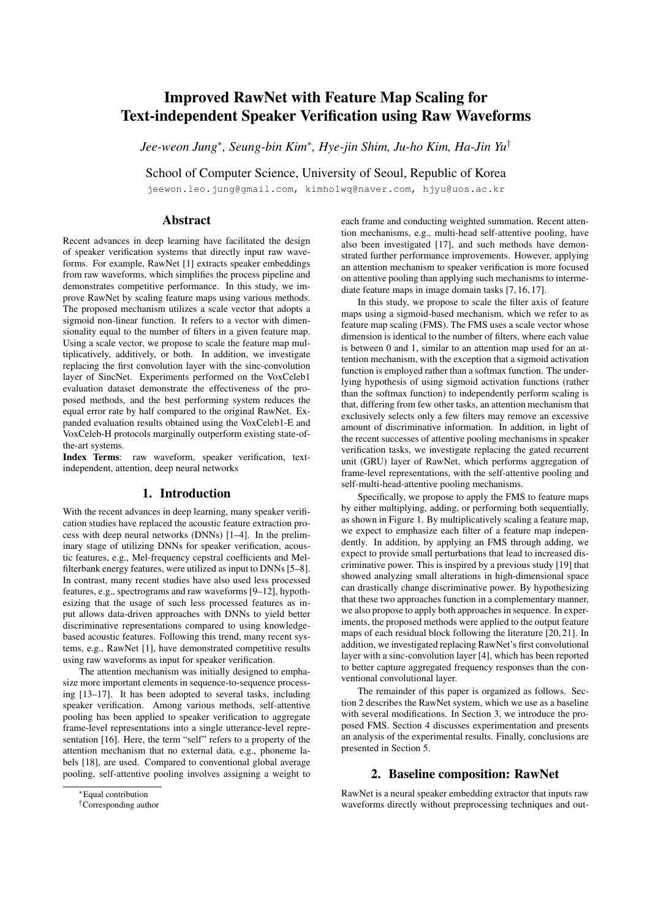# Improved RawNet with Feature Map Scaling for Text-independent Speaker Verification using Raw Waveforms

*Jee-weon Jung*<sup>∗</sup> *, Seung-bin Kim*<sup>∗</sup> *, Hye-jin Shim, Ju-ho Kim, Ha-Jin Yu*†

School of Computer Science, University of Seoul, Republic of Korea

jeewon.leo.jung@gmail.com, kimho1wq@naver.com, hjyu@uos.ac.kr

# Abstract

Recent advances in deep learning have facilitated the design of speaker verification systems that directly input raw waveforms. For example, RawNet [1] extracts speaker embeddings from raw waveforms, which simplifies the process pipeline and demonstrates competitive performance. In this study, we improve RawNet by scaling feature maps using various methods. The proposed mechanism utilizes a scale vector that adopts a sigmoid non-linear function. It refers to a vector with dimensionality equal to the number of filters in a given feature map. Using a scale vector, we propose to scale the feature map multiplicatively, additively, or both. In addition, we investigate replacing the first convolution layer with the sinc-convolution layer of SincNet. Experiments performed on the VoxCeleb1 evaluation dataset demonstrate the effectiveness of the proposed methods, and the best performing system reduces the equal error rate by half compared to the original RawNet. Expanded evaluation results obtained using the VoxCeleb1-E and VoxCeleb-H protocols marginally outperform existing state-ofthe-art systems.

Index Terms: raw waveform, speaker verification, textindependent, attention, deep neural networks

#### 1. Introduction

With the recent advances in deep learning, many speaker verification studies have replaced the acoustic feature extraction process with deep neural networks (DNNs) [1–4]. In the preliminary stage of utilizing DNNs for speaker verification, acoustic features, e.g., Mel-frequency cepstral coefficients and Melfilterbank energy features, were utilized as input to DNNs [5–8]. In contrast, many recent studies have also used less processed features, e.g., spectrograms and raw waveforms [9–12], hypothesizing that the usage of such less processed features as input allows data-driven approaches with DNNs to yield better discriminative representations compared to using knowledgebased acoustic features. Following this trend, many recent systems, e.g., RawNet [1], have demonstrated competitive results using raw waveforms as input for speaker verification.

The attention mechanism was initially designed to emphasize more important elements in sequence-to-sequence processing [13–17]. It has been adopted to several tasks, including speaker verification. Among various methods, self-attentive pooling has been applied to speaker verification to aggregate frame-level representations into a single utterance-level representation [16]. Here, the term "self" refers to a property of the attention mechanism that no external data, e.g., phoneme labels [18], are used. Compared to conventional global average pooling, self-attentive pooling involves assigning a weight to each frame and conducting weighted summation. Recent attention mechanisms, e.g., multi-head self-attentive pooling, have also been investigated [17], and such methods have demonstrated further performance improvements. However, applying an attention mechanism to speaker verification is more focused on attentive pooling than applying such mechanisms to intermediate feature maps in image domain tasks [7, 16, 17].

In this study, we propose to scale the filter axis of feature maps using a sigmoid-based mechanism, which we refer to as feature map scaling (FMS). The FMS uses a scale vector whose dimension is identical to the number of filters, where each value is between 0 and 1, similar to an attention map used for an attention mechanism, with the exception that a sigmoid activation function is employed rather than a softmax function. The underlying hypothesis of using sigmoid activation functions (rather than the softmax function) to independently perform scaling is that, differing from few other tasks, an attention mechanism that exclusively selects only a few filters may remove an excessive amount of discriminative information. In addition, in light of the recent successes of attentive pooling mechanisms in speaker verification tasks, we investigate replacing the gated recurrent unit (GRU) layer of RawNet, which performs aggregation of frame-level representations, with the self-attentive pooling and self-multi-head-attentive pooling mechanisms.

Specifically, we propose to apply the FMS to feature maps by either multiplying, adding, or performing both sequentially, as shown in Figure 1. By multiplicatively scaling a feature map, we expect to emphasize each filter of a feature map independently. In addition, by applying an FMS through adding, we expect to provide small perturbations that lead to increased discriminative power. This is inspired by a previous study [19] that showed analyzing small alterations in high-dimensional space can drastically change discriminative power. By hypothesizing that these two approaches function in a complementary manner, we also propose to apply both approaches in sequence. In experiments, the proposed methods were applied to the output feature maps of each residual block following the literature [20, 21]. In addition, we investigated replacing RawNet's first convolutional layer with a sinc-convolution layer [4], which has been reported to better capture aggregated frequency responses than the conventional convolutional layer.

The remainder of this paper is organized as follows. Section 2 describes the RawNet system, which we use as a baseline with several modifications. In Section 3, we introduce the proposed FMS. Section 4 discusses experimentation and presents an analysis of the experimental results. Finally, conclusions are presented in Section 5.

### 2. Baseline composition: RawNet

RawNet is a neural speaker embedding extractor that inputs raw waveforms directly without preprocessing techniques and out-

<sup>∗</sup>Equal contribution

<sup>†</sup>Corresponding author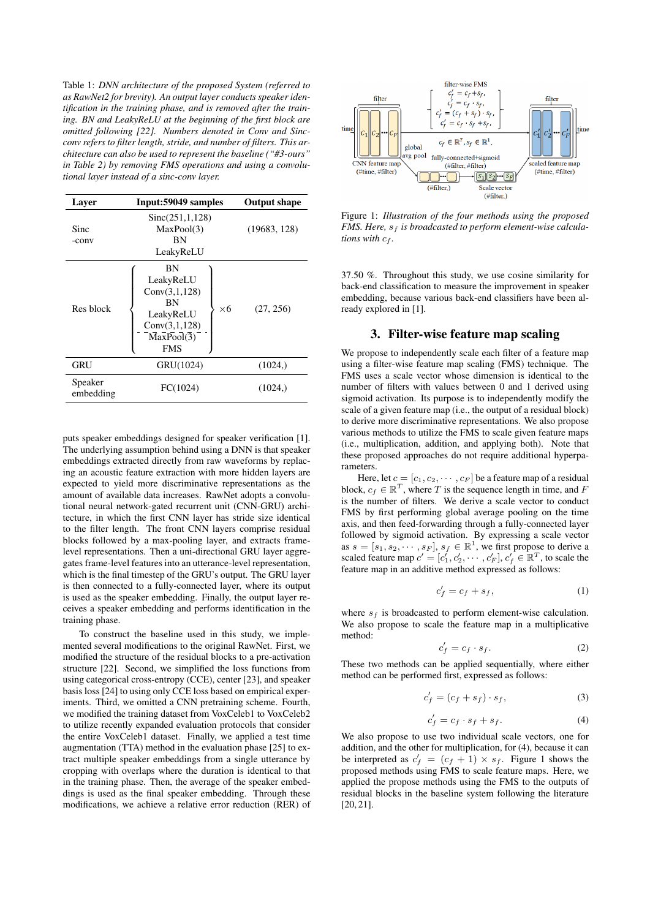Table 1: *DNN architecture of the proposed System (referred to as RawNet2 for brevity). An output layer conducts speaker identification in the training phase, and is removed after the training. BN and LeakyReLU at the beginning of the first block are omitted following [22]. Numbers denoted in Conv and Sincconv refers to filter length, stride, and number of filters. This architecture can also be used to represent the baseline ("#3-ours" in Table 2) by removing FMS operations and using a convolutional layer instead of a sinc-conv layer.*

| Layer                | Input: 59049 samples                                                                                           | <b>Output shape</b> |
|----------------------|----------------------------------------------------------------------------------------------------------------|---------------------|
| Sinc<br>-conv        | Sinc(251,1,128)<br>MaxPool(3)<br><b>BN</b><br>LeakyReLU                                                        | (19683, 128)        |
| Res block            | ΒN<br>LeakyReLU<br>Conv(3,1,128)<br>BN<br>$\times 6$<br>LeakyReLU<br>Conv(3,1,128)<br>MaxPool(3)<br><b>FMS</b> | (27, 256)           |
| GRU                  | GRU(1024)                                                                                                      | (1024)              |
| Speaker<br>embedding | FC(1024)                                                                                                       | (1024)              |

puts speaker embeddings designed for speaker verification [1]. The underlying assumption behind using a DNN is that speaker embeddings extracted directly from raw waveforms by replacing an acoustic feature extraction with more hidden layers are expected to yield more discriminative representations as the amount of available data increases. RawNet adopts a convolutional neural network-gated recurrent unit (CNN-GRU) architecture, in which the first CNN layer has stride size identical to the filter length. The front CNN layers comprise residual blocks followed by a max-pooling layer, and extracts framelevel representations. Then a uni-directional GRU layer aggregates frame-level features into an utterance-level representation, which is the final timestep of the GRU's output. The GRU layer is then connected to a fully-connected layer, where its output is used as the speaker embedding. Finally, the output layer receives a speaker embedding and performs identification in the training phase.

To construct the baseline used in this study, we implemented several modifications to the original RawNet. First, we modified the structure of the residual blocks to a pre-activation structure [22]. Second, we simplified the loss functions from using categorical cross-entropy (CCE), center [23], and speaker basis loss [24] to using only CCE loss based on empirical experiments. Third, we omitted a CNN pretraining scheme. Fourth, we modified the training dataset from VoxCeleb1 to VoxCeleb2 to utilize recently expanded evaluation protocols that consider the entire VoxCeleb1 dataset. Finally, we applied a test time augmentation (TTA) method in the evaluation phase [25] to extract multiple speaker embeddings from a single utterance by cropping with overlaps where the duration is identical to that in the training phase. Then, the average of the speaker embeddings is used as the final speaker embedding. Through these modifications, we achieve a relative error reduction (RER) of



Figure 1: *Illustration of the four methods using the proposed FMS. Here, s<sub>f</sub> is broadcasted to perform element-wise calculations with*  $c_f$ *.* 

37.50 %. Throughout this study, we use cosine similarity for back-end classification to measure the improvement in speaker embedding, because various back-end classifiers have been already explored in [1].

## 3. Filter-wise feature map scaling

We propose to independently scale each filter of a feature map using a filter-wise feature map scaling (FMS) technique. The FMS uses a scale vector whose dimension is identical to the number of filters with values between 0 and 1 derived using sigmoid activation. Its purpose is to independently modify the scale of a given feature map (i.e., the output of a residual block) to derive more discriminative representations. We also propose various methods to utilize the FMS to scale given feature maps (i.e., multiplication, addition, and applying both). Note that these proposed approaches do not require additional hyperparameters.

Here, let  $c = [c_1, c_2, \cdots, c_F]$  be a feature map of a residual block,  $c_f \in \mathbb{R}^T$ , where T is the sequence length in time, and F is the number of filters. We derive a scale vector to conduct FMS by first performing global average pooling on the time axis, and then feed-forwarding through a fully-connected layer followed by sigmoid activation. By expressing a scale vector as  $s = [s_1, s_2, \cdots, s_F], s_f \in \mathbb{R}^1$ , we first propose to derive a scaled feature map  $c' = [c'_1, c'_2, \dots, c'_F], c'_f \in \mathbb{R}^T$ , to scale the feature map in an additive method expressed as follows:

$$
c_f' = c_f + s_f,\tag{1}
$$

where  $s_f$  is broadcasted to perform element-wise calculation. We also propose to scale the feature map in a multiplicative method:

$$
c_f' = c_f \cdot s_f. \tag{2}
$$

These two methods can be applied sequentially, where either method can be performed first, expressed as follows:

$$
c_f' = (c_f + s_f) \cdot s_f,\tag{3}
$$

$$
c_f' = c_f \cdot s_f + s_f. \tag{4}
$$

We also propose to use two individual scale vectors, one for addition, and the other for multiplication, for (4), because it can be interpreted as  $c'_f = (c_f + 1) \times s_f$ . Figure 1 shows the proposed methods using FMS to scale feature maps. Here, we applied the propose methods using the FMS to the outputs of residual blocks in the baseline system following the literature [20, 21].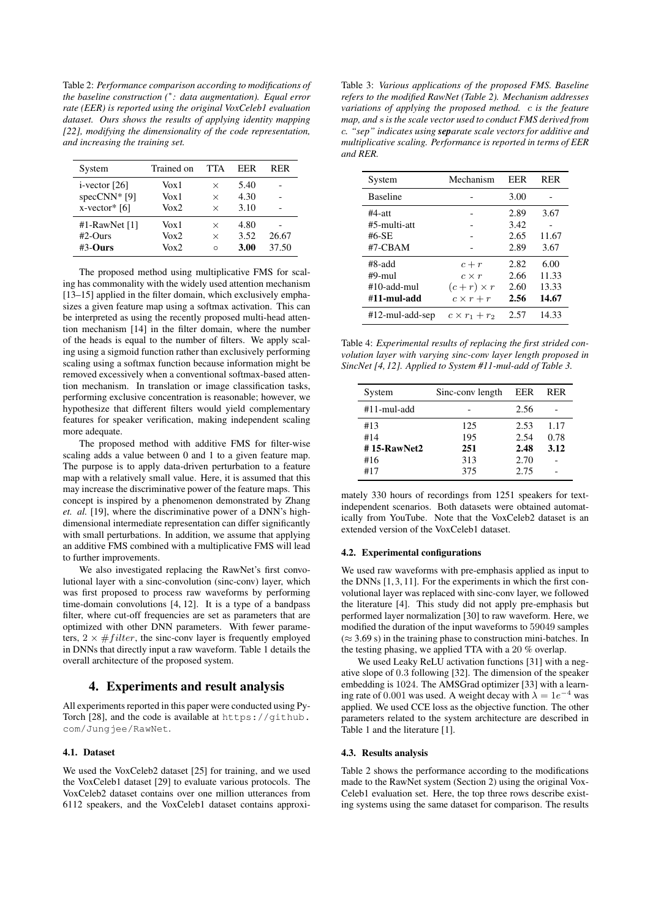Table 2: *Performance comparison according to modifications of the baseline construction (*<sup>∗</sup> *: data augmentation). Equal error rate (EER) is reported using the original VoxCeleb1 evaluation dataset. Ours shows the results of applying identity mapping [22], modifying the dimensionality of the code representation, and increasing the training set.*

| System           | Trained on | <b>TTA</b> | EER  | RER   |
|------------------|------------|------------|------|-------|
| $i$ -vector [26] | Vox 1      | $\times$   | 5.40 |       |
| specCNN* $[9]$   | Vox 1      | $\times$   | 4.30 |       |
| $x$ -vector* [6] | Vox2       | $\times$   | 3.10 |       |
| #1-RawNet $[1]$  | Vox 1      | ×          | 4.80 |       |
| $#2$ -Ours       | Vox2       | $\times$   | 3.52 | 26.67 |
| $#3$ -Ours       | Vox2       | Ω          | 3.00 | 37.50 |

The proposed method using multiplicative FMS for scaling has commonality with the widely used attention mechanism [13–15] applied in the filter domain, which exclusively emphasizes a given feature map using a softmax activation. This can be interpreted as using the recently proposed multi-head attention mechanism [14] in the filter domain, where the number of the heads is equal to the number of filters. We apply scaling using a sigmoid function rather than exclusively performing scaling using a softmax function because information might be removed excessively when a conventional softmax-based attention mechanism. In translation or image classification tasks, performing exclusive concentration is reasonable; however, we hypothesize that different filters would yield complementary features for speaker verification, making independent scaling more adequate.

The proposed method with additive FMS for filter-wise scaling adds a value between 0 and 1 to a given feature map. The purpose is to apply data-driven perturbation to a feature map with a relatively small value. Here, it is assumed that this may increase the discriminative power of the feature maps. This concept is inspired by a phenomenon demonstrated by Zhang *et. al.* [19], where the discriminative power of a DNN's highdimensional intermediate representation can differ significantly with small perturbations. In addition, we assume that applying an additive FMS combined with a multiplicative FMS will lead to further improvements.

We also investigated replacing the RawNet's first convolutional layer with a sinc-convolution (sinc-conv) layer, which was first proposed to process raw waveforms by performing time-domain convolutions [4, 12]. It is a type of a bandpass filter, where cut-off frequencies are set as parameters that are optimized with other DNN parameters. With fewer parameters,  $2 \times \# filter$ , the sinc-conv layer is frequently employed in DNNs that directly input a raw waveform. Table 1 details the overall architecture of the proposed system.

### 4. Experiments and result analysis

All experiments reported in this paper were conducted using Py-Torch [28], and the code is available at https://github. com/Jungjee/RawNet.

#### 4.1. Dataset

We used the VoxCeleb2 dataset [25] for training, and we used the VoxCeleb1 dataset [29] to evaluate various protocols. The VoxCeleb2 dataset contains over one million utterances from 6112 speakers, and the VoxCeleb1 dataset contains approxi-

Table 3: *Various applications of the proposed FMS. Baseline refers to the modified RawNet (Table 2). Mechanism addresses variations of applying the proposed method.* c *is the feature map, and* s *is the scale vector used to conduct FMS derived from* c*. "sep" indicates using separate scale vectors for additive and multiplicative scaling. Performance is reported in terms of EER and RER.*

| System          | Mechanism            | EER  | <b>RER</b> |  |
|-----------------|----------------------|------|------------|--|
| <b>Baseline</b> |                      | 3.00 |            |  |
| $#4$ -att       |                      | 2.89 | 3.67       |  |
| #5-multi-att    |                      | 3.42 |            |  |
| $#6-SE$         |                      | 2.65 | 11.67      |  |
| #7-CBAM         |                      | 2.89 | 3.67       |  |
| #8-add          | $c + r$              | 2.82 | 6.00       |  |
| $#9$ -mul       | $c \times r$         | 2.66 | 11.33      |  |
| #10-add-mul     | $(c+r)\times r$      | 2.60 | 13.33      |  |
| #11-mul-add     | $c \times r + r$     | 2.56 | 14.67      |  |
| #12-mul-add-sep | $c \times r_1 + r_2$ | 2.57 | 14.33      |  |

Table 4: *Experimental results of replacing the first strided convolution layer with varying sinc-conv layer length proposed in SincNet [4, 12]. Applied to System #11-mul-add of Table 3.*

| System         | Sinc-conv length | EER  | RER  |
|----------------|------------------|------|------|
| #11-mul-add    |                  | 2.56 |      |
| #13            | 125              | 2.53 | 1.17 |
| #14            | 195              | 2.54 | 0.78 |
| $#$ 15-RawNet2 | 251              | 2.48 | 3.12 |
| #16            | 313              | 2.70 |      |
| #17            | 375              | 2.75 |      |

mately 330 hours of recordings from 1251 speakers for textindependent scenarios. Both datasets were obtained automatically from YouTube. Note that the VoxCeleb2 dataset is an extended version of the VoxCeleb1 dataset.

#### 4.2. Experimental configurations

We used raw waveforms with pre-emphasis applied as input to the DNNs [1, 3, 11]. For the experiments in which the first convolutional layer was replaced with sinc-conv layer, we followed the literature [4]. This study did not apply pre-emphasis but performed layer normalization [30] to raw waveform. Here, we modified the duration of the input waveforms to 59049 samples  $(\approx 3.69 \text{ s})$  in the training phase to construction mini-batches. In the testing phasing, we applied TTA with a 20 % overlap.

We used Leaky ReLU activation functions [31] with a negative slope of 0.3 following [32]. The dimension of the speaker embedding is 1024. The AMSGrad optimizer [33] with a learning rate of 0.001 was used. A weight decay with  $\lambda = 1e^{-4}$  was applied. We used CCE loss as the objective function. The other parameters related to the system architecture are described in Table 1 and the literature [1].

#### 4.3. Results analysis

Table 2 shows the performance according to the modifications made to the RawNet system (Section 2) using the original Vox-Celeb1 evaluation set. Here, the top three rows describe existing systems using the same dataset for comparison. The results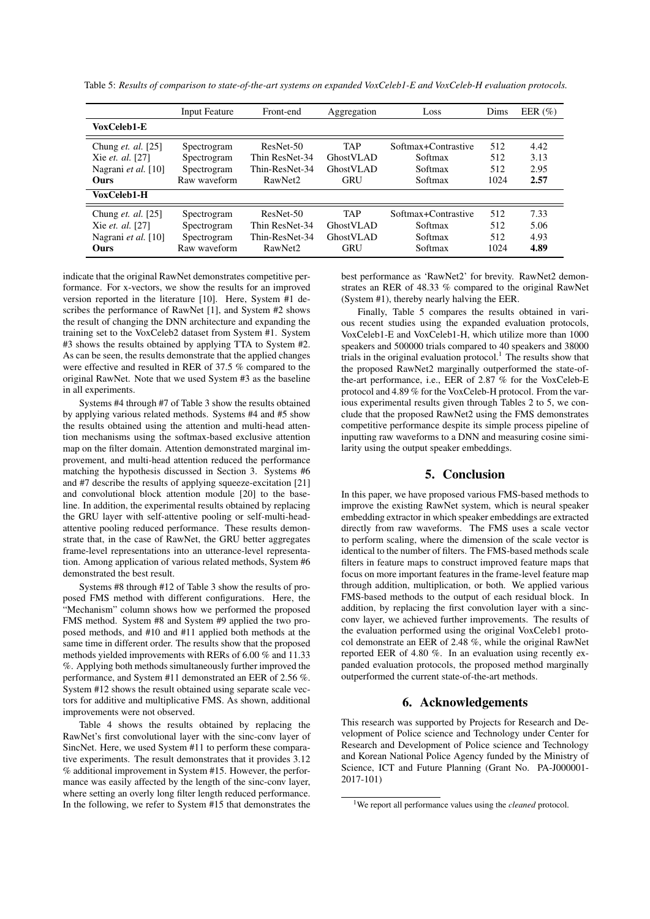Table 5: *Results of comparison to state-of-the-art systems on expanded VoxCeleb1-E and VoxCeleb-H evaluation protocols.*

|                                                                                                    | <b>Input Feature</b>                                      | Front-end                                                            | Aggregation                                        | Loss                                                 | Dims                      | EER $(\%)$                   |
|----------------------------------------------------------------------------------------------------|-----------------------------------------------------------|----------------------------------------------------------------------|----------------------------------------------------|------------------------------------------------------|---------------------------|------------------------------|
| VoxCeleb1-E                                                                                        |                                                           |                                                                      |                                                    |                                                      |                           |                              |
| Chung <i>et. al.</i> [25]<br>Xie <i>et. al.</i> [27]<br>Nagrani et al. [10]<br>Ours<br>VoxCeleb1-H | Spectrogram<br>Spectrogram<br>Spectrogram<br>Raw waveform | ResNet-50<br>Thin ResNet-34<br>Thin-ResNet-34<br>RawNet <sub>2</sub> | <b>TAP</b><br>GhostVLAD<br>GhostVLAD<br><b>GRU</b> | Softmax+Contrastive<br>Softmax<br>Softmax<br>Softmax | 512<br>512<br>512<br>1024 | 4.42<br>3.13<br>2.95<br>2.57 |
| Chung <i>et. al.</i> [25]<br>Xie et. al. [27]<br>Nagrani et al. [10]<br>Ours                       | Spectrogram<br>Spectrogram<br>Spectrogram<br>Raw waveform | ResNet-50<br>Thin ResNet-34<br>Thin-ResNet-34<br>RawNet2             | <b>TAP</b><br>GhostVLAD<br>GhostVLAD<br><b>GRU</b> | Softmax+Contrastive<br>Softmax<br>Softmax<br>Softmax | 512<br>512<br>512<br>1024 | 7.33<br>5.06<br>4.93<br>4.89 |

indicate that the original RawNet demonstrates competitive performance. For x-vectors, we show the results for an improved version reported in the literature [10]. Here, System #1 describes the performance of RawNet [1], and System #2 shows the result of changing the DNN architecture and expanding the training set to the VoxCeleb2 dataset from System #1. System #3 shows the results obtained by applying TTA to System #2. As can be seen, the results demonstrate that the applied changes were effective and resulted in RER of 37.5 % compared to the original RawNet. Note that we used System #3 as the baseline in all experiments.

Systems #4 through #7 of Table 3 show the results obtained by applying various related methods. Systems #4 and #5 show the results obtained using the attention and multi-head attention mechanisms using the softmax-based exclusive attention map on the filter domain. Attention demonstrated marginal improvement, and multi-head attention reduced the performance matching the hypothesis discussed in Section 3. Systems #6 and #7 describe the results of applying squeeze-excitation [21] and convolutional block attention module [20] to the baseline. In addition, the experimental results obtained by replacing the GRU layer with self-attentive pooling or self-multi-headattentive pooling reduced performance. These results demonstrate that, in the case of RawNet, the GRU better aggregates frame-level representations into an utterance-level representation. Among application of various related methods, System #6 demonstrated the best result.

Systems #8 through #12 of Table 3 show the results of proposed FMS method with different configurations. Here, the "Mechanism" column shows how we performed the proposed FMS method. System #8 and System #9 applied the two proposed methods, and #10 and #11 applied both methods at the same time in different order. The results show that the proposed methods yielded improvements with RERs of 6.00 % and 11.33 %. Applying both methods simultaneously further improved the performance, and System #11 demonstrated an EER of 2.56 %. System #12 shows the result obtained using separate scale vectors for additive and multiplicative FMS. As shown, additional improvements were not observed.

Table 4 shows the results obtained by replacing the RawNet's first convolutional layer with the sinc-conv layer of SincNet. Here, we used System #11 to perform these comparative experiments. The result demonstrates that it provides 3.12 % additional improvement in System #15. However, the performance was easily affected by the length of the sinc-conv layer, where setting an overly long filter length reduced performance. In the following, we refer to System #15 that demonstrates the best performance as 'RawNet2' for brevity. RawNet2 demonstrates an RER of 48.33 % compared to the original RawNet (System #1), thereby nearly halving the EER.

Finally, Table 5 compares the results obtained in various recent studies using the expanded evaluation protocols, VoxCeleb1-E and VoxCeleb1-H, which utilize more than 1000 speakers and 500000 trials compared to 40 speakers and 38000 trials in the original evaluation protocol.<sup>1</sup> The results show that the proposed RawNet2 marginally outperformed the state-ofthe-art performance, i.e., EER of 2.87 % for the VoxCeleb-E protocol and 4.89 % for the VoxCeleb-H protocol. From the various experimental results given through Tables 2 to 5, we conclude that the proposed RawNet2 using the FMS demonstrates competitive performance despite its simple process pipeline of inputting raw waveforms to a DNN and measuring cosine similarity using the output speaker embeddings.

# 5. Conclusion

In this paper, we have proposed various FMS-based methods to improve the existing RawNet system, which is neural speaker embedding extractor in which speaker embeddings are extracted directly from raw waveforms. The FMS uses a scale vector to perform scaling, where the dimension of the scale vector is identical to the number of filters. The FMS-based methods scale filters in feature maps to construct improved feature maps that focus on more important features in the frame-level feature map through addition, multiplication, or both. We applied various FMS-based methods to the output of each residual block. In addition, by replacing the first convolution layer with a sincconv layer, we achieved further improvements. The results of the evaluation performed using the original VoxCeleb1 protocol demonstrate an EER of 2.48 %, while the original RawNet reported EER of 4.80 %. In an evaluation using recently expanded evaluation protocols, the proposed method marginally outperformed the current state-of-the-art methods.

# 6. Acknowledgements

This research was supported by Projects for Research and Development of Police science and Technology under Center for Research and Development of Police science and Technology and Korean National Police Agency funded by the Ministry of Science, ICT and Future Planning (Grant No. PA-J000001- 2017-101)

<sup>1</sup>We report all performance values using the *cleaned* protocol.